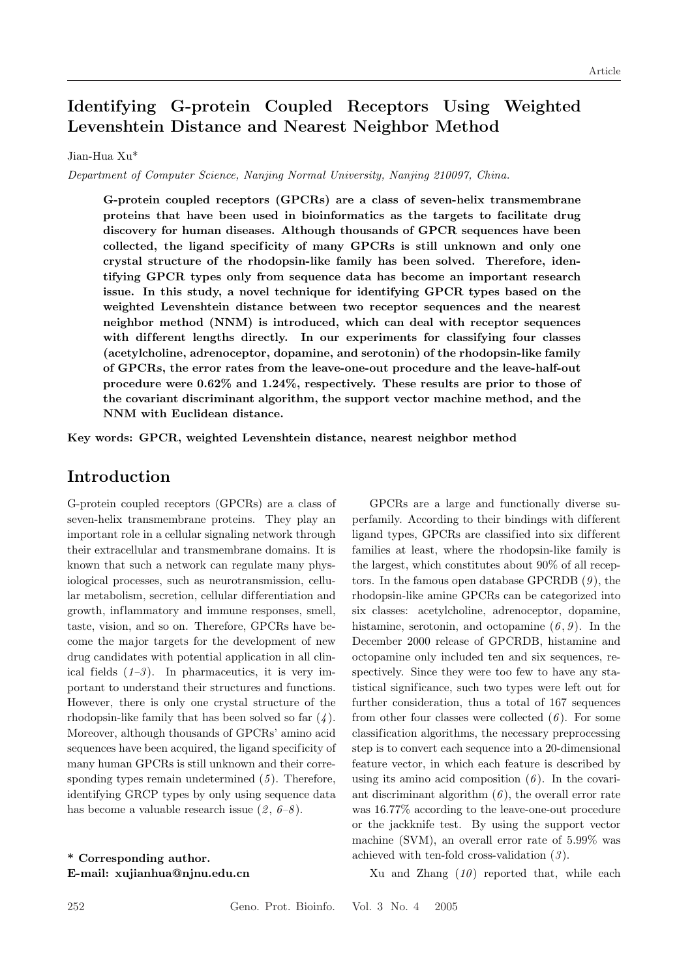# Identifying G-protein Coupled Receptors Using Weighted Levenshtein Distance and Nearest Neighbor Method

#### Jian-Hua Xu\*

Department of Computer Science, Nanjing Normal University, Nanjing 210097, China.

G-protein coupled receptors (GPCRs) are a class of seven-helix transmembrane proteins that have been used in bioinformatics as the targets to facilitate drug discovery for human diseases. Although thousands of GPCR sequences have been collected, the ligand specificity of many GPCRs is still unknown and only one crystal structure of the rhodopsin-like family has been solved. Therefore, identifying GPCR types only from sequence data has become an important research issue. In this study, a novel technique for identifying GPCR types based on the weighted Levenshtein distance between two receptor sequences and the nearest neighbor method (NNM) is introduced, which can deal with receptor sequences with different lengths directly. In our experiments for classifying four classes (acetylcholine, adrenoceptor, dopamine, and serotonin) of the rhodopsin-like family of GPCRs, the error rates from the leave-one-out procedure and the leave-half-out procedure were 0.62% and 1.24%, respectively. These results are prior to those of the covariant discriminant algorithm, the support vector machine method, and the NNM with Euclidean distance.

Key words: GPCR, weighted Levenshtein distance, nearest neighbor method

## Introduction

G-protein coupled receptors (GPCRs) are a class of seven-helix transmembrane proteins. They play an important role in a cellular signaling network through their extracellular and transmembrane domains. It is known that such a network can regulate many physiological processes, such as neurotransmission, cellular metabolism, secretion, cellular dif ferentiation and growth, inflammatory and immune responses, smell, taste, vision, and so on. Therefore, GPCRs have become the major targets for the development of new drug candidates with potential application in all clinical fields  $(1-3)$ . In pharmaceutics, it is very important to understand their structures and functions. However, there is only one crystal structure of the rhodopsin-like family that has been solved so far  $(4)$ . Moreover, although thousands of GPCRs' amino acid sequences have been acquired, the ligand specificity of many human GPCRs is still unknown and their corresponding types remain undetermined  $(5)$ . Therefore, identifying GRCP types by only using sequence data has become a valuable research issue  $(2, 6-8)$ .

\* Corresponding author. E-mail: xujianhua@njnu.edu.cn

GPCRs are a large and functionally diverse superfamily. According to their bindings with dif ferent ligand types, GPCRs are classified into six different families at least, where the rhodopsin-like family is the largest, which constitutes about 90% of all receptors. In the famous open database GPCRDB  $(9)$ , the rhodopsin-like amine GPCRs can be categorized into six classes: acetylcholine, adrenoceptor, dopamine, histamine, serotonin, and octopamine  $(6, 9)$ . In the December 2000 release of GPCRDB, histamine and octopamine only included ten and six sequences, respectively. Since they were too few to have any statistical significance, such two types were left out for further consideration, thus a total of 167 sequences from other four classes were collected  $(6)$ . For some classification algorithms, the necessary preprocessing step is to convert each sequence into a 20-dimensional feature vector, in which each feature is described by using its amino acid composition  $(6)$ . In the covariant discriminant algorithm  $(6)$ , the overall error rate was 16.77% according to the leave-one-out procedure or the jackknife test. By using the support vector machine (SVM), an overall error rate of 5.99% was achieved with ten-fold cross-validation  $(3)$ .

Xu and Zhang  $(10)$  reported that, while each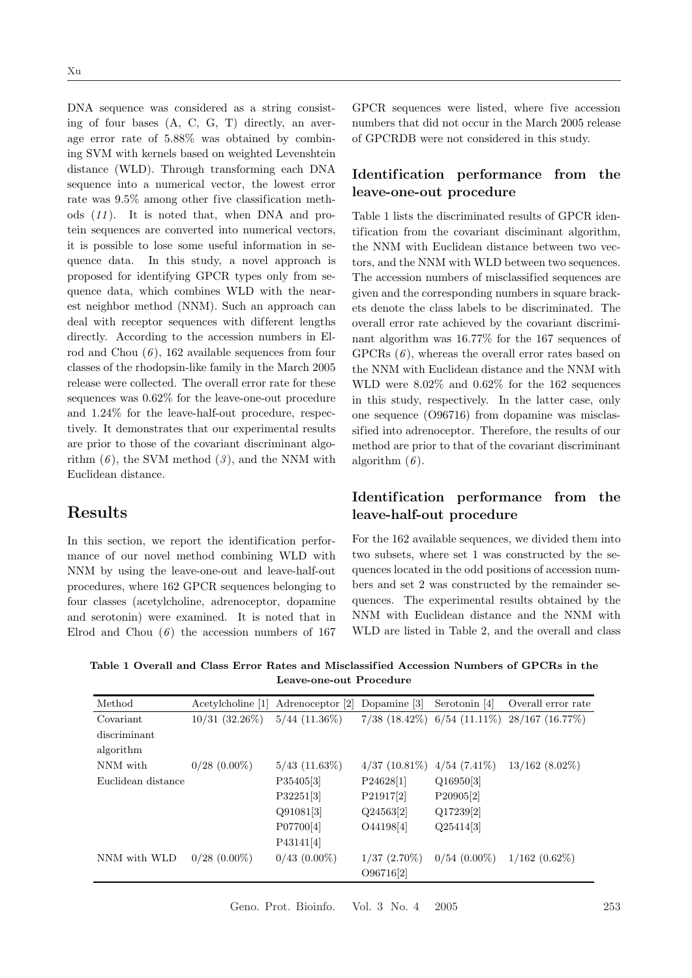DNA sequence was considered as a string consisting of four bases (A, C, G, T) directly, an average error rate of 5.88% was obtained by combining SVM with kernels based on weighted Levenshtein distance (WLD). Through transforming each DNA sequence into a numerical vector, the lowest error rate was 9.5% among other five classification methods  $(11)$ . It is noted that, when DNA and protein sequences are converted into numerical vectors, it is possible to lose some useful information in sequence data. In this study, a novel approach is proposed for identifying GPCR types only from sequence data, which combines WLD with the nearest neighbor method (NNM). Such an approach can deal with receptor sequences with different lengths directly. According to the accession numbers in Elrod and Chou  $(6)$ , 162 available sequences from four classes of the rhodopsin-like family in the March 2005 release were collected. The overall error rate for these sequences was 0.62% for the leave-one-out procedure and 1.24% for the leave-half-out procedure, respectively. It demonstrates that our experimental results are prior to those of the covariant discriminant algorithm  $(6)$ , the SVM method  $(3)$ , and the NNM with Euclidean distance.

### Results

In this section, we report the identification performance of our novel method combining WLD with NNM by using the leave-one-out and leave-half-out procedures, where 162 GPCR sequences belonging to four classes (acetylcholine, adrenoceptor, dopamine and serotonin) were examined. It is noted that in Elrod and Chou  $(6)$  the accession numbers of 167

GPCR sequences were listed, where five accession numbers that did not occur in the March 2005 release of GPCRDB were not considered in this study.

## Identification performance from the leave-one-out procedure

Table 1 lists the discriminated results of GPCR identification from the covariant disciminant algorithm, the NNM with Euclidean distance between two vectors, and the NNM with WLD between two sequences. The accession numbers of misclassified sequences are given and the corresponding numbers in square brackets denote the class labels to be discriminated. The overall error rate achieved by the covariant discriminant algorithm was 16.77% for the 167 sequences of GPCRs  $(6)$ , whereas the overall error rates based on the NNM with Euclidean distance and the NNM with WLD were 8.02% and 0.62% for the 162 sequences in this study, respectively. In the latter case, only one sequence (O96716) from dopamine was misclassified into adrenoceptor. Therefore, the results of our method are prior to that of the covariant discriminant algorithm  $(6)$ .

### Identification performance from the leave-half-out procedure

For the 162 available sequences, we divided them into two subsets, where set 1 was constructed by the sequences located in the odd positions of accession numbers and set 2 was constructed by the remainder sequences. The experimental results obtained by the NNM with Euclidean distance and the NNM with WLD are listed in Table 2, and the overall and class

Table 1 Overall and Class Error Rates and Misclassified Accession Numbers of GPCRs in the Leave-one-out Procedure

| Method             | Acetylcholine [1]   | Adrenoceptor [2]   | Dopamine [3]    | Serotonin [4]                 | Overall error rate |
|--------------------|---------------------|--------------------|-----------------|-------------------------------|--------------------|
| Covariant          | $10/31$ $(32.26\%)$ | $5/44$ $(11.36\%)$ |                 | $7/38$ (18.42%) 6/54 (11.11%) | $28/167$ (16.77\%) |
| discriminant       |                     |                    |                 |                               |                    |
| algorithm          |                     |                    |                 |                               |                    |
| NNM with           | $0/28$ $(0.00\%)$   | $5/43$ $(11.63\%)$ | $4/37(10.81\%)$ | $4/54(7.41\%)$                | $13/162$ (8.02%)   |
| Euclidean distance |                     | P35405[3]          | P24628[1]       | Q16950[3]                     |                    |
|                    |                     | P32251[3]          | P21917[2]       | P20905[2]                     |                    |
|                    |                     | Q91081[3]          | $Q$ 24563[2]    | Q17239[2]                     |                    |
|                    |                     | P07700[4]          | O44198[4]       | Q25414[3]                     |                    |
|                    |                     | P43141[4]          |                 |                               |                    |
| NNM with WLD       | $0/28$ $(0.00\%)$   | $0/43$ $(0.00\%)$  | $1/37(2.70\%)$  | $0/54(0.00\%)$                | $1/162(0.62\%)$    |
|                    |                     |                    | O96716[2]       |                               |                    |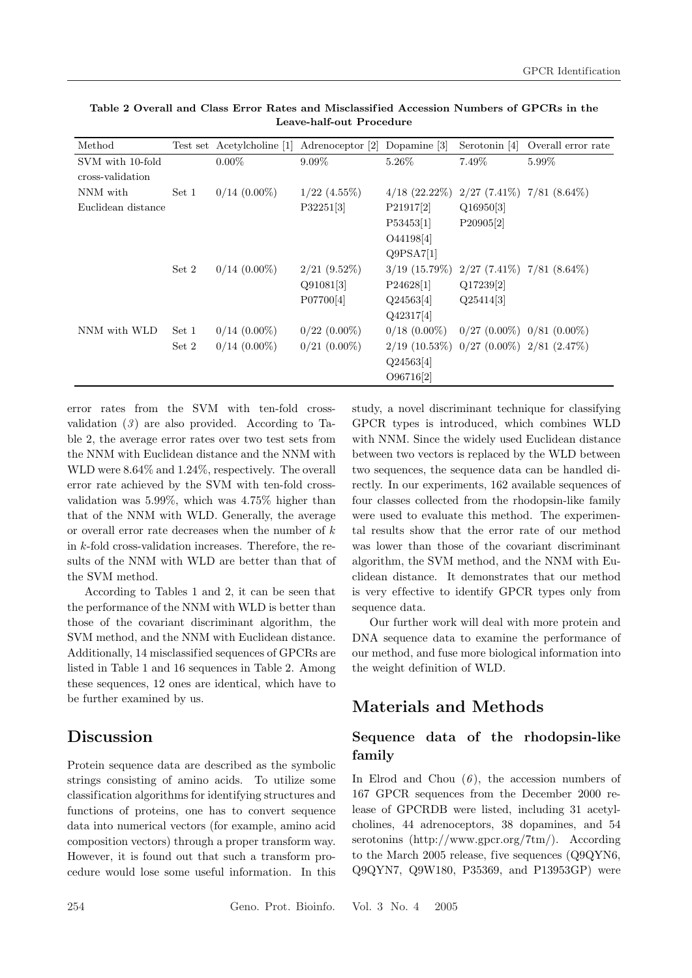| Method             |       | Test set Acetylcholine [1] | Adrenoceptor [2]  | Dopamine [3]                                  | Serotonin [4]                       | Overall error rate            |
|--------------------|-------|----------------------------|-------------------|-----------------------------------------------|-------------------------------------|-------------------------------|
| SVM with 10-fold   |       | $0.00\%$                   | $9.09\%$          | 5.26\%                                        | 7.49\%                              | 5.99%                         |
| cross-validation   |       |                            |                   |                                               |                                     |                               |
| NNM with           | Set 1 | $0/14$ $(0.00\%)$          | $1/22$ $(4.55\%)$ | $4/18$ $(22.22\%)$                            |                                     | $2/27$ (7.41%) $7/81$ (8.64%) |
| Euclidean distance |       |                            | P32251[3]         | P21917[2]                                     | Q16950[3]                           |                               |
|                    |       |                            |                   | P53453[1]                                     | P20905[2]                           |                               |
|                    |       |                            |                   | O44198[4]                                     |                                     |                               |
|                    |       |                            |                   | Q9PSA7[1]                                     |                                     |                               |
|                    | Set 2 | $0/14$ $(0.00\%)$          | $2/21$ (9.52%)    | $3/19$ (15.79%) $2/27$ (7.41%) $7/81$ (8.64%) |                                     |                               |
|                    |       |                            | Q91081[3]         | P24628[1]                                     | Q17239[2]                           |                               |
|                    |       |                            | P07700[4]         | $Q$ 24563[4]                                  | Q25414[3]                           |                               |
|                    |       |                            |                   | Q42317[4]                                     |                                     |                               |
| NNM with WLD       | Set 1 | $0/14$ $(0.00\%)$          | $0/22$ $(0.00\%)$ | $0/18$ $(0.00\%)$                             | $0/27$ $(0.00\%)$ $0/81$ $(0.00\%)$ |                               |
|                    | Set 2 | $0/14$ $(0.00\%)$          | $0/21$ $(0.00\%)$ | $2/19$ (10.53%) 0/27 (0.00%) 2/81 (2.47%)     |                                     |                               |
|                    |       |                            |                   | $Q$ 24563[4]                                  |                                     |                               |
|                    |       |                            |                   | O96716[2]                                     |                                     |                               |

Table 2 Overall and Class Error Rates and Misclassified Accession Numbers of GPCRs in the Leave-half-out Procedure

error rates from the SVM with ten-fold crossvalidation  $(3)$  are also provided. According to Table 2, the average error rates over two test sets from the NNM with Euclidean distance and the NNM with WLD were 8.64% and 1.24%, respectively. The overall error rate achieved by the SVM with ten-fold crossvalidation was 5.99%, which was 4.75% higher than that of the NNM with WLD. Generally, the average or overall error rate decreases when the number of  $k$ in k-fold cross-validation increases. Therefore, the results of the NNM with WLD are better than that of the SVM method.

According to Tables 1 and 2, it can be seen that the performance of the NNM with WLD is better than those of the covariant discriminant algorithm, the SVM method, and the NNM with Euclidean distance. Additionally, 14 misclassified sequences of GPCRs are listed in Table 1 and 16 sequences in Table 2. Among these sequences, 12 ones are identical, which have to be further examined by us.

## Discussion

Protein sequence data are described as the symbolic strings consisting of amino acids. To utilize some classification algorithms for identifying structures and functions of proteins, one has to convert sequence data into numerical vectors (for example, amino acid composition vectors) through a proper transform way. However, it is found out that such a transform procedure would lose some useful information. In this

study, a novel discriminant technique for classifying GPCR types is introduced, which combines WLD with NNM. Since the widely used Euclidean distance between two vectors is replaced by the WLD between two sequences, the sequence data can be handled directly. In our experiments, 162 available sequences of four classes collected from the rhodopsin-like family were used to evaluate this method. The experimental results show that the error rate of our method was lower than those of the covariant discriminant algorithm, the SVM method, and the NNM with Euclidean distance. It demonstrates that our method is very ef fective to identify GPCR types only from sequence data.

Our further work will deal with more protein and DNA sequence data to examine the performance of our method, and fuse more biological information into the weight definition of WLD.

## Materials and Methods

### Sequence data of the rhodopsin-like family

In Elrod and Chou  $(6)$ , the accession numbers of 167 GPCR sequences from the December 2000 release of GPCRDB were listed, including 31 acetylcholines, 44 adrenoceptors, 38 dopamines, and 54 serotonins (http://www.gpcr.org/7tm/). According to the March 2005 release, five sequences (Q9QYN6, Q9QYN7, Q9W180, P35369, and P13953GP) were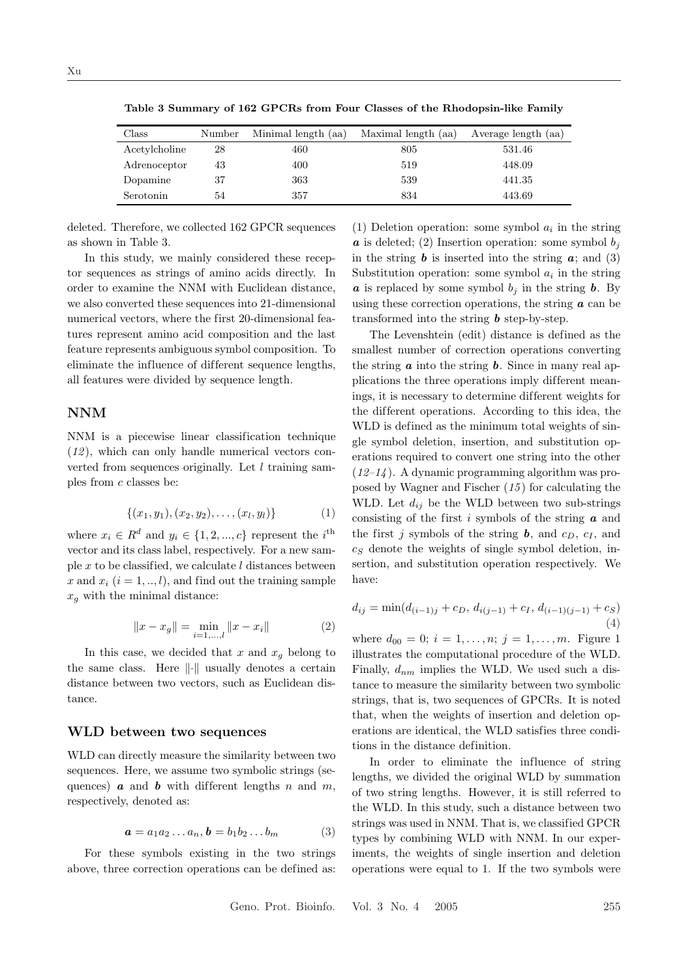| Class         | Number | Minimal length (aa) | Maximal length (aa) | Average length (aa) |
|---------------|--------|---------------------|---------------------|---------------------|
| Acetylcholine | 28     | 460                 | 805                 | 531.46              |
| Adrenoceptor  | 43     | 400                 | 519                 | 448.09              |
| Dopamine      | 37     | 363                 | 539                 | 441.35              |
| Serotonin     | 54     | 357                 | 834                 | 443.69              |

Table 3 Summary of 162 GPCRs from Four Classes of the Rhodopsin-like Family

deleted. Therefore, we collected 162 GPCR sequences as shown in Table 3.

In this study, we mainly considered these receptor sequences as strings of amino acids directly. In order to examine the NNM with Euclidean distance, we also converted these sequences into 21-dimensional numerical vectors, where the first 20-dimensional features represent amino acid composition and the last feature represents ambiguous symbol composition. To eliminate the influence of different sequence lengths, all features were divided by sequence length.

#### NNM

NNM is a piecewise linear classification technique  $(12)$ , which can only handle numerical vectors converted from sequences originally. Let  $l$  training samples from c classes be:

$$
\{(x_1, y_1), (x_2, y_2), \dots, (x_l, y_l)\}\tag{1}
$$

where  $x_i \in R^d$  and  $y_i \in \{1, 2, ..., c\}$  represent the *i*<sup>th</sup> vector and its class label, respectively. For a new sample  $x$  to be classified, we calculate  $l$  distances between x and  $x_i$   $(i = 1, ..., l)$ , and find out the training sample  $x_g$  with the minimal distance:

$$
||x - x_g|| = \min_{i=1,\dots,l} ||x - x_i|| \tag{2}
$$

In this case, we decided that  $x$  and  $x_g$  belong to the same class. Here  $\|\cdot\|$  usually denotes a certain distance between two vectors, such as Euclidean distance.

#### WLD between two sequences

WLD can directly measure the similarity between two sequences. Here, we assume two symbolic strings (sequences)  $\boldsymbol{a}$  and  $\boldsymbol{b}$  with different lengths n and m, respectively, denoted as:

$$
\mathbf{a} = a_1 a_2 \dots a_n, \mathbf{b} = b_1 b_2 \dots b_m \tag{3}
$$

For these symbols existing in the two strings above, three correction operations can be defined as:

(1) Deletion operation: some symbol  $a_i$  in the string  $\boldsymbol{a}$  is deleted; (2) Insertion operation: some symbol  $b_i$ in the string  $\boldsymbol{b}$  is inserted into the string  $\boldsymbol{a}$ ; and (3) Substitution operation: some symbol  $a_i$  in the string  $\boldsymbol{a}$  is replaced by some symbol  $b_i$  in the string  $\boldsymbol{b}$ . By using these correction operations, the string  $\boldsymbol{a}$  can be transformed into the string  $\boldsymbol{b}$  step-by-step.

The Levenshtein (edit) distance is defined as the smallest number of correction operations converting the string  $\boldsymbol{a}$  into the string  $\boldsymbol{b}$ . Since in many real applications the three operations imply different meanings, it is necessary to determine dif ferent weights for the dif ferent operations. According to this idea, the WLD is defined as the minimum total weights of single symbol deletion, insertion, and substitution operations required to convert one string into the other  $(12-14)$ . A dynamic programming algorithm was proposed by Wagner and Fischer  $(15)$  for calculating the WLD. Let  $d_{ij}$  be the WLD between two sub-strings consisting of the first i symbols of the string  $\boldsymbol{a}$  and the first j symbols of the string  $\boldsymbol{b}$ , and  $c_D$ ,  $c_I$ , and  $c<sub>S</sub>$  denote the weights of single symbol deletion, insertion, and substitution operation respectively. We have:

$$
d_{ij} = \min(d_{(i-1)j} + c_D, d_{i(j-1)} + c_I, d_{(i-1)(j-1)} + c_S)
$$
\n(4)

where  $d_{00} = 0$ ;  $i = 1, ..., n$ ;  $j = 1, ..., m$ . Figure 1 illustrates the computational procedure of the WLD. Finally,  $d_{nm}$  implies the WLD. We used such a distance to measure the similarity between two symbolic strings, that is, two sequences of GPCRs. It is noted that, when the weights of insertion and deletion operations are identical, the WLD satisfies three conditions in the distance definition.

In order to eliminate the influence of string lengths, we divided the original WLD by summation of two string lengths. However, it is still referred to the WLD. In this study, such a distance between two strings was used in NNM. That is, we classified GPCR types by combining WLD with NNM. In our experiments, the weights of single insertion and deletion operations were equal to 1. If the two symbols were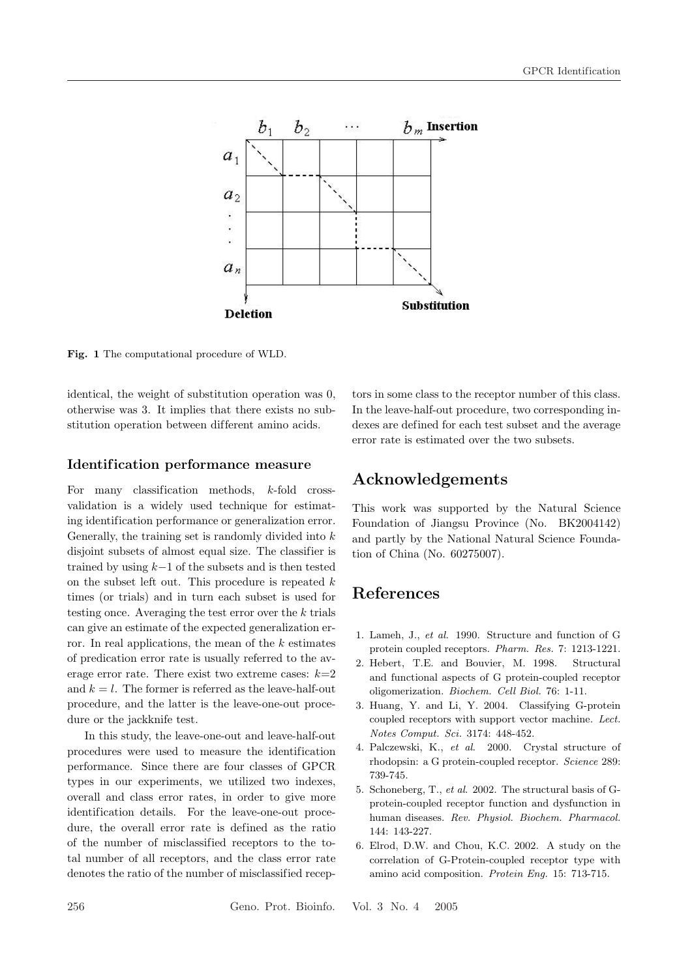

Fig. 1 The computational procedure of WLD.

identical, the weight of substitution operation was 0, otherwise was 3. It implies that there exists no substitution operation between different amino acids.

#### Identification performance measure

For many classification methods, k-fold crossvalidation is a widely used technique for estimating identification performance or generalization error. Generally, the training set is randomly divided into  $k$ disjoint subsets of almost equal size. The classifier is trained by using  $k-1$  of the subsets and is then tested on the subset left out. This procedure is repeated  $k$ times (or trials) and in turn each subset is used for testing once. Averaging the test error over the k trials can give an estimate of the expected generalization error. In real applications, the mean of the  $k$  estimates of predication error rate is usually referred to the average error rate. There exist two extreme cases:  $k=2$ and  $k = l$ . The former is referred as the leave-half-out procedure, and the latter is the leave-one-out procedure or the jackknife test.

In this study, the leave-one-out and leave-half-out procedures were used to measure the identification performance. Since there are four classes of GPCR types in our experiments, we utilized two indexes, overall and class error rates, in order to give more identification details. For the leave-one-out procedure, the overall error rate is defined as the ratio of the number of misclassified receptors to the total number of all receptors, and the class error rate denotes the ratio of the number of misclassified receptors in some class to the receptor number of this class. In the leave-half-out procedure, two corresponding indexes are defined for each test subset and the average error rate is estimated over the two subsets.

## Acknowledgements

This work was supported by the Natural Science Foundation of Jiangsu Province (No. BK2004142) and partly by the National Natural Science Foundation of China (No. 60275007).

## References

- 1. Lameh, J., et al. 1990. Structure and function of G protein coupled receptors. Pharm. Res. 7: 1213-1221.
- 2. Hebert, T.E. and Bouvier, M. 1998. Structural and functional aspects of G protein-coupled receptor oligomerization. Biochem. Cell Biol. 76: 1-11.
- 3. Huang, Y. and Li, Y. 2004. Classifying G-protein coupled receptors with support vector machine. Lect. Notes Comput. Sci. 3174: 448-452.
- 4. Palczewski, K., et al. 2000. Crystal structure of rhodopsin: a G protein-coupled receptor. Science 289: 739-745.
- 5. Schoneberg, T., et al. 2002. The structural basis of Gprotein-coupled receptor function and dysfunction in human diseases. Rev. Physiol. Biochem. Pharmacol. 144: 143-227.
- 6. Elrod, D.W. and Chou, K.C. 2002. A study on the correlation of G-Protein-coupled receptor type with amino acid composition. Protein Eng. 15: 713-715.